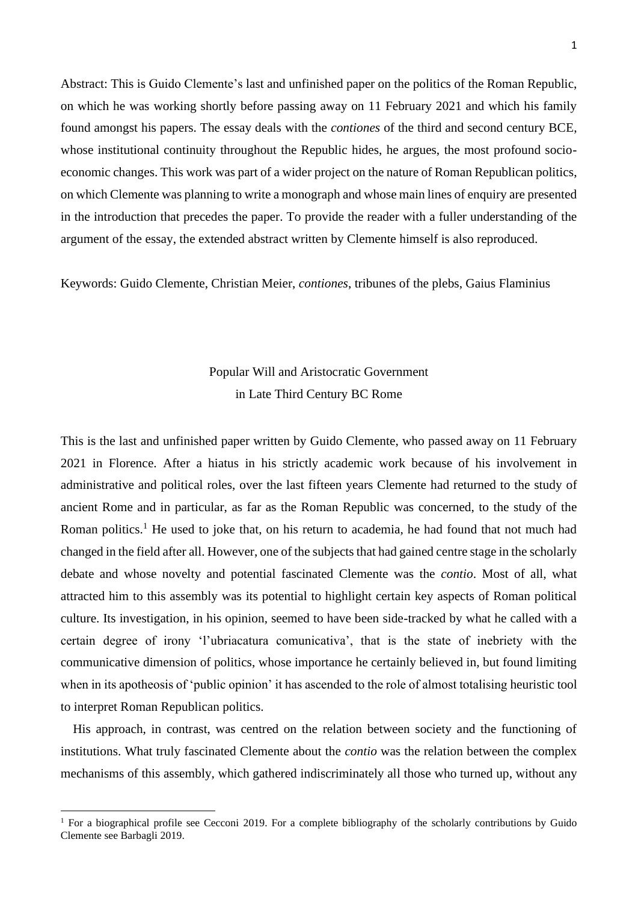Abstract: This is Guido Clemente's last and unfinished paper on the politics of the Roman Republic, on which he was working shortly before passing away on 11 February 2021 and which his family found amongst his papers. The essay deals with the *contiones* of the third and second century BCE, whose institutional continuity throughout the Republic hides, he argues, the most profound socioeconomic changes. This work was part of a wider project on the nature of Roman Republican politics, on which Clemente was planning to write a monograph and whose main lines of enquiry are presented in the introduction that precedes the paper. To provide the reader with a fuller understanding of the argument of the essay, the extended abstract written by Clemente himself is also reproduced.

Keywords: Guido Clemente, Christian Meier, *contiones*, tribunes of the plebs, Gaius Flaminius

# Popular Will and Aristocratic Government in Late Third Century BC Rome

This is the last and unfinished paper written by Guido Clemente, who passed away on 11 February 2021 in Florence. After a hiatus in his strictly academic work because of his involvement in administrative and political roles, over the last fifteen years Clemente had returned to the study of ancient Rome and in particular, as far as the Roman Republic was concerned, to the study of the Roman politics.<sup>1</sup> He used to joke that, on his return to academia, he had found that not much had changed in the field after all. However, one of the subjects that had gained centre stage in the scholarly debate and whose novelty and potential fascinated Clemente was the *contio*. Most of all, what attracted him to this assembly was its potential to highlight certain key aspects of Roman political culture. Its investigation, in his opinion, seemed to have been side-tracked by what he called with a certain degree of irony 'l'ubriacatura comunicativa', that is the state of inebriety with the communicative dimension of politics, whose importance he certainly believed in, but found limiting when in its apotheosis of 'public opinion' it has ascended to the role of almost totalising heuristic tool to interpret Roman Republican politics.

His approach, in contrast, was centred on the relation between society and the functioning of institutions. What truly fascinated Clemente about the *contio* was the relation between the complex mechanisms of this assembly, which gathered indiscriminately all those who turned up, without any

<sup>&</sup>lt;sup>1</sup> For a biographical profile see Cecconi 2019. For a complete bibliography of the scholarly contributions by Guido Clemente see Barbagli 2019.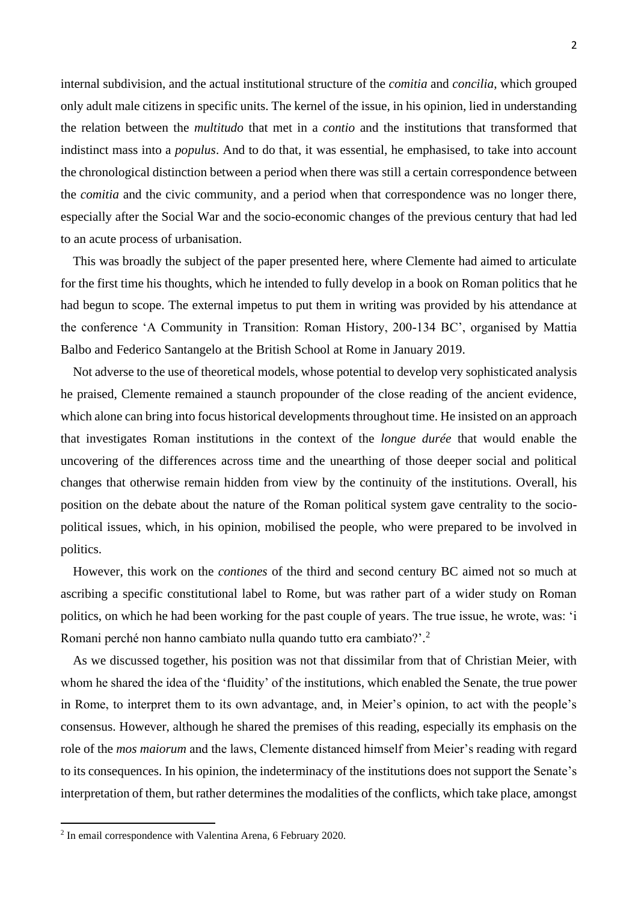internal subdivision, and the actual institutional structure of the *comitia* and *concilia*, which grouped only adult male citizens in specific units. The kernel of the issue, in his opinion, lied in understanding the relation between the *multitudo* that met in a *contio* and the institutions that transformed that indistinct mass into a *populus*. And to do that, it was essential, he emphasised, to take into account the chronological distinction between a period when there was still a certain correspondence between the *comitia* and the civic community, and a period when that correspondence was no longer there, especially after the Social War and the socio-economic changes of the previous century that had led to an acute process of urbanisation.

This was broadly the subject of the paper presented here, where Clemente had aimed to articulate for the first time his thoughts, which he intended to fully develop in a book on Roman politics that he had begun to scope. The external impetus to put them in writing was provided by his attendance at the conference 'A Community in Transition: Roman History, 200-134 BC', organised by Mattia Balbo and Federico Santangelo at the British School at Rome in January 2019.

Not adverse to the use of theoretical models, whose potential to develop very sophisticated analysis he praised, Clemente remained a staunch propounder of the close reading of the ancient evidence, which alone can bring into focus historical developments throughout time. He insisted on an approach that investigates Roman institutions in the context of the *longue durée* that would enable the uncovering of the differences across time and the unearthing of those deeper social and political changes that otherwise remain hidden from view by the continuity of the institutions. Overall, his position on the debate about the nature of the Roman political system gave centrality to the sociopolitical issues, which, in his opinion, mobilised the people, who were prepared to be involved in politics.

However, this work on the *contiones* of the third and second century BC aimed not so much at ascribing a specific constitutional label to Rome, but was rather part of a wider study on Roman politics, on which he had been working for the past couple of years. The true issue, he wrote, was: 'i Romani perché non hanno cambiato nulla quando tutto era cambiato?'.<sup>2</sup>

As we discussed together, his position was not that dissimilar from that of Christian Meier, with whom he shared the idea of the 'fluidity' of the institutions, which enabled the Senate, the true power in Rome, to interpret them to its own advantage, and, in Meier's opinion, to act with the people's consensus. However, although he shared the premises of this reading, especially its emphasis on the role of the *mos maiorum* and the laws, Clemente distanced himself from Meier's reading with regard to its consequences. In his opinion, the indeterminacy of the institutions does not support the Senate's interpretation of them, but rather determines the modalities of the conflicts, which take place, amongst

<sup>2</sup> In email correspondence with Valentina Arena, 6 February 2020.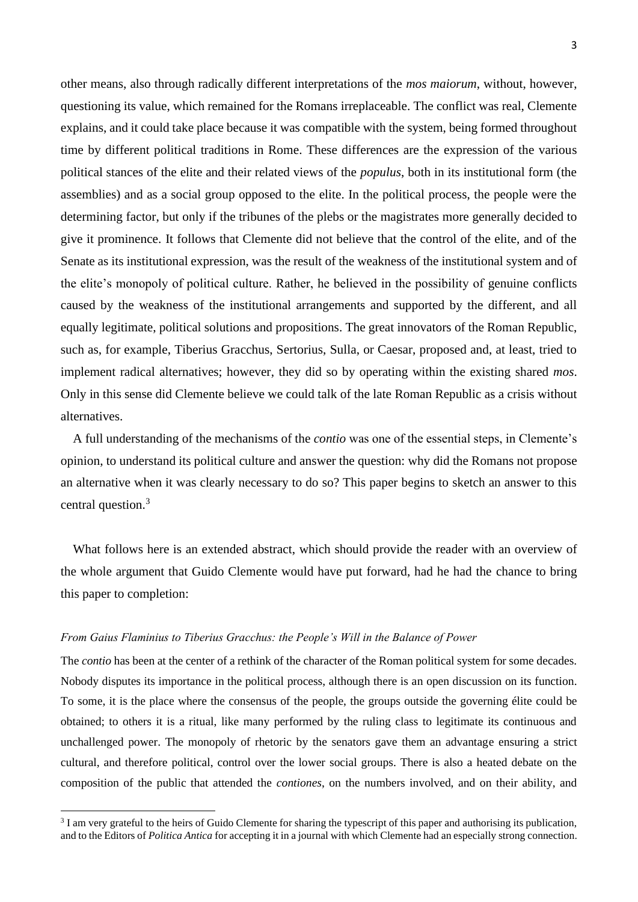other means, also through radically different interpretations of the *mos maiorum*, without, however, questioning its value, which remained for the Romans irreplaceable. The conflict was real, Clemente explains, and it could take place because it was compatible with the system, being formed throughout time by different political traditions in Rome. These differences are the expression of the various political stances of the elite and their related views of the *populus*, both in its institutional form (the assemblies) and as a social group opposed to the elite. In the political process, the people were the determining factor, but only if the tribunes of the plebs or the magistrates more generally decided to give it prominence. It follows that Clemente did not believe that the control of the elite, and of the Senate as its institutional expression, was the result of the weakness of the institutional system and of the elite's monopoly of political culture. Rather, he believed in the possibility of genuine conflicts caused by the weakness of the institutional arrangements and supported by the different, and all equally legitimate, political solutions and propositions. The great innovators of the Roman Republic, such as, for example, Tiberius Gracchus, Sertorius, Sulla, or Caesar, proposed and, at least, tried to implement radical alternatives; however, they did so by operating within the existing shared *mos*. Only in this sense did Clemente believe we could talk of the late Roman Republic as a crisis without alternatives.

A full understanding of the mechanisms of the *contio* was one of the essential steps, in Clemente's opinion, to understand its political culture and answer the question: why did the Romans not propose an alternative when it was clearly necessary to do so? This paper begins to sketch an answer to this central question.<sup>3</sup>

What follows here is an extended abstract, which should provide the reader with an overview of the whole argument that Guido Clemente would have put forward, had he had the chance to bring this paper to completion:

# *From Gaius Flaminius to Tiberius Gracchus: the People's Will in the Balance of Power*

The *contio* has been at the center of a rethink of the character of the Roman political system for some decades. Nobody disputes its importance in the political process, although there is an open discussion on its function. To some, it is the place where the consensus of the people, the groups outside the governing élite could be obtained; to others it is a ritual, like many performed by the ruling class to legitimate its continuous and unchallenged power. The monopoly of rhetoric by the senators gave them an advantage ensuring a strict cultural, and therefore political, control over the lower social groups. There is also a heated debate on the composition of the public that attended the *contiones*, on the numbers involved, and on their ability, and

<sup>&</sup>lt;sup>3</sup> I am very grateful to the heirs of Guido Clemente for sharing the typescript of this paper and authorising its publication, and to the Editors of *Politica Antica* for accepting it in a journal with which Clemente had an especially strong connection.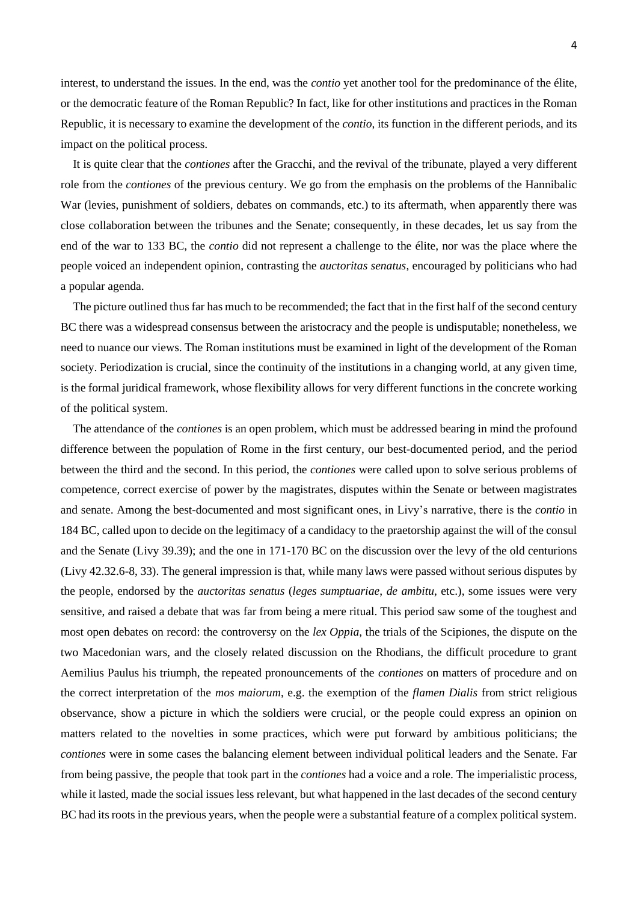interest, to understand the issues. In the end, was the *contio* yet another tool for the predominance of the élite, or the democratic feature of the Roman Republic? In fact, like for other institutions and practices in the Roman Republic, it is necessary to examine the development of the *contio*, its function in the different periods, and its impact on the political process.

It is quite clear that the *contiones* after the Gracchi, and the revival of the tribunate, played a very different role from the *contiones* of the previous century. We go from the emphasis on the problems of the Hannibalic War (levies, punishment of soldiers, debates on commands, etc.) to its aftermath, when apparently there was close collaboration between the tribunes and the Senate; consequently, in these decades, let us say from the end of the war to 133 BC, the *contio* did not represent a challenge to the élite, nor was the place where the people voiced an independent opinion, contrasting the *auctoritas senatus*, encouraged by politicians who had a popular agenda.

The picture outlined thus far has much to be recommended; the fact that in the first half of the second century BC there was a widespread consensus between the aristocracy and the people is undisputable; nonetheless, we need to nuance our views. The Roman institutions must be examined in light of the development of the Roman society. Periodization is crucial, since the continuity of the institutions in a changing world, at any given time, is the formal juridical framework, whose flexibility allows for very different functions in the concrete working of the political system.

The attendance of the *contiones* is an open problem, which must be addressed bearing in mind the profound difference between the population of Rome in the first century, our best-documented period, and the period between the third and the second. In this period, the *contiones* were called upon to solve serious problems of competence, correct exercise of power by the magistrates, disputes within the Senate or between magistrates and senate. Among the best-documented and most significant ones, in Livy's narrative, there is the *contio* in 184 BC, called upon to decide on the legitimacy of a candidacy to the praetorship against the will of the consul and the Senate (Livy 39.39); and the one in 171-170 BC on the discussion over the levy of the old centurions (Livy 42.32.6-8, 33). The general impression is that, while many laws were passed without serious disputes by the people, endorsed by the *auctoritas senatus* (*leges sumptuariae*, *de ambitu*, etc.), some issues were very sensitive, and raised a debate that was far from being a mere ritual. This period saw some of the toughest and most open debates on record: the controversy on the *lex Oppia*, the trials of the Scipiones, the dispute on the two Macedonian wars, and the closely related discussion on the Rhodians, the difficult procedure to grant Aemilius Paulus his triumph, the repeated pronouncements of the *contiones* on matters of procedure and on the correct interpretation of the *mos maiorum*, e.g. the exemption of the *flamen Dialis* from strict religious observance, show a picture in which the soldiers were crucial, or the people could express an opinion on matters related to the novelties in some practices, which were put forward by ambitious politicians; the *contiones* were in some cases the balancing element between individual political leaders and the Senate. Far from being passive, the people that took part in the *contiones* had a voice and a role. The imperialistic process, while it lasted, made the social issues less relevant, but what happened in the last decades of the second century BC had its roots in the previous years, when the people were a substantial feature of a complex political system.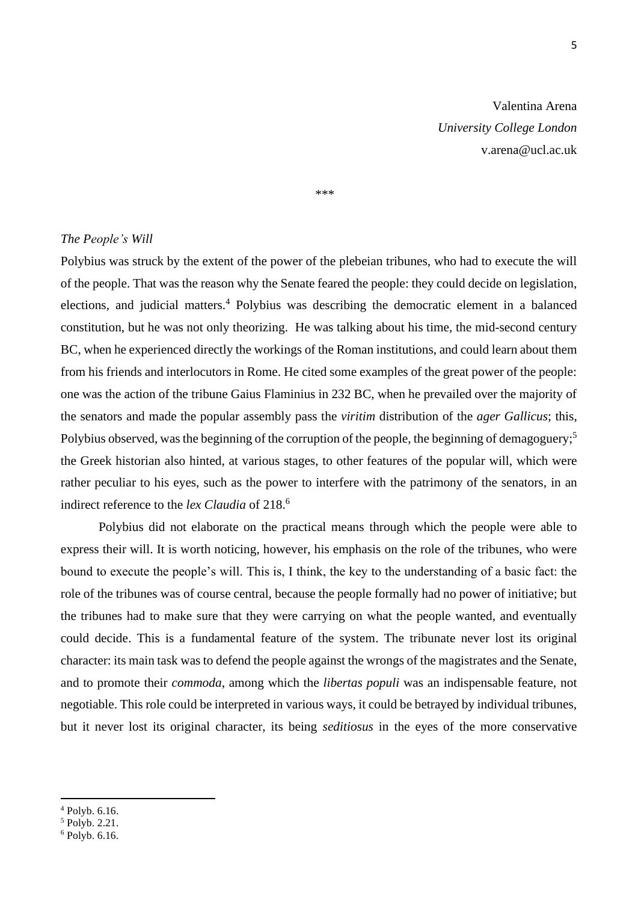\*\*\*

#### *The People's Will*

Polybius was struck by the extent of the power of the plebeian tribunes, who had to execute the will of the people. That was the reason why the Senate feared the people: they could decide on legislation, elections, and judicial matters. <sup>4</sup> Polybius was describing the democratic element in a balanced constitution, but he was not only theorizing. He was talking about his time, the mid-second century BC, when he experienced directly the workings of the Roman institutions, and could learn about them from his friends and interlocutors in Rome. He cited some examples of the great power of the people: one was the action of the tribune Gaius Flaminius in 232 BC, when he prevailed over the majority of the senators and made the popular assembly pass the *viritim* distribution of the *ager Gallicus*; this, Polybius observed, was the beginning of the corruption of the people, the beginning of demagoguery;<sup>5</sup> the Greek historian also hinted, at various stages, to other features of the popular will, which were rather peculiar to his eyes, such as the power to interfere with the patrimony of the senators, in an indirect reference to the *lex Claudia* of 218. 6

Polybius did not elaborate on the practical means through which the people were able to express their will. It is worth noticing, however, his emphasis on the role of the tribunes, who were bound to execute the people's will. This is, I think, the key to the understanding of a basic fact: the role of the tribunes was of course central, because the people formally had no power of initiative; but the tribunes had to make sure that they were carrying on what the people wanted, and eventually could decide. This is a fundamental feature of the system. The tribunate never lost its original character: its main task was to defend the people against the wrongs of the magistrates and the Senate, and to promote their *commoda*, among which the *libertas populi* was an indispensable feature, not negotiable. This role could be interpreted in various ways, it could be betrayed by individual tribunes, but it never lost its original character, its being *seditiosus* in the eyes of the more conservative

5

<sup>4</sup> Polyb. 6.16.

 $<sup>5</sup>$  Polyb. 2.21.</sup>

<sup>6</sup> Polyb. 6.16.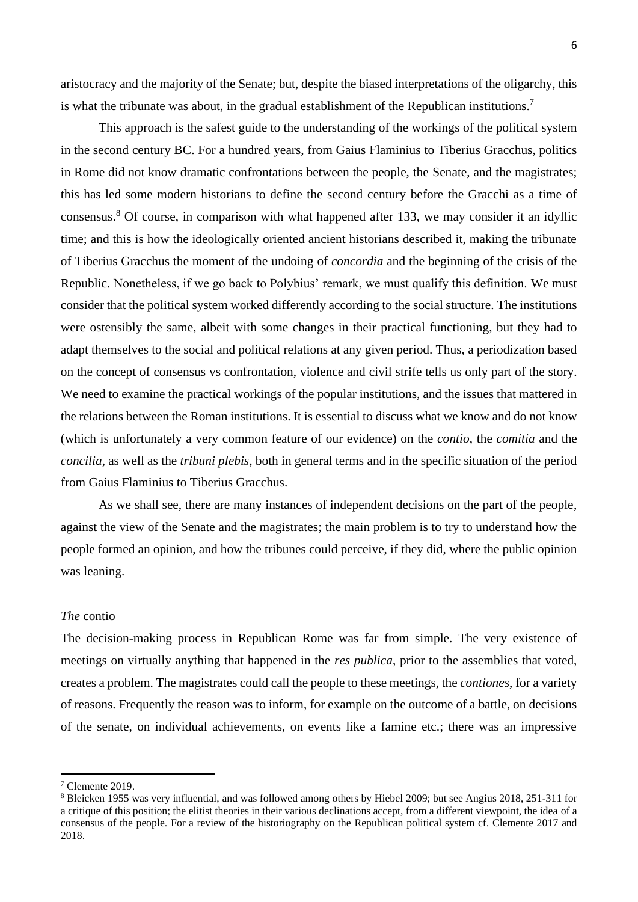aristocracy and the majority of the Senate; but, despite the biased interpretations of the oligarchy, this is what the tribunate was about, in the gradual establishment of the Republican institutions.<sup>7</sup>

This approach is the safest guide to the understanding of the workings of the political system in the second century BC. For a hundred years, from Gaius Flaminius to Tiberius Gracchus, politics in Rome did not know dramatic confrontations between the people, the Senate, and the magistrates; this has led some modern historians to define the second century before the Gracchi as a time of consensus. <sup>8</sup> Of course, in comparison with what happened after 133, we may consider it an idyllic time; and this is how the ideologically oriented ancient historians described it, making the tribunate of Tiberius Gracchus the moment of the undoing of *concordia* and the beginning of the crisis of the Republic. Nonetheless, if we go back to Polybius' remark, we must qualify this definition. We must consider that the political system worked differently according to the social structure. The institutions were ostensibly the same, albeit with some changes in their practical functioning, but they had to adapt themselves to the social and political relations at any given period. Thus, a periodization based on the concept of consensus vs confrontation, violence and civil strife tells us only part of the story. We need to examine the practical workings of the popular institutions, and the issues that mattered in the relations between the Roman institutions. It is essential to discuss what we know and do not know (which is unfortunately a very common feature of our evidence) on the *contio*, the *comitia* and the *concilia*, as well as the *tribuni plebis*, both in general terms and in the specific situation of the period from Gaius Flaminius to Tiberius Gracchus.

As we shall see, there are many instances of independent decisions on the part of the people, against the view of the Senate and the magistrates; the main problem is to try to understand how the people formed an opinion, and how the tribunes could perceive, if they did, where the public opinion was leaning.

#### *The* contio

The decision-making process in Republican Rome was far from simple. The very existence of meetings on virtually anything that happened in the *res publica*, prior to the assemblies that voted, creates a problem. The magistrates could call the people to these meetings, the *contiones*, for a variety of reasons. Frequently the reason was to inform, for example on the outcome of a battle, on decisions of the senate, on individual achievements, on events like a famine etc.; there was an impressive

<sup>7</sup> Clemente 2019.

<sup>8</sup> Bleicken 1955 was very influential, and was followed among others by Hiebel 2009; but see Angius 2018, 251-311 for a critique of this position; the elitist theories in their various declinations accept, from a different viewpoint, the idea of a consensus of the people. For a review of the historiography on the Republican political system cf. Clemente 2017 and 2018.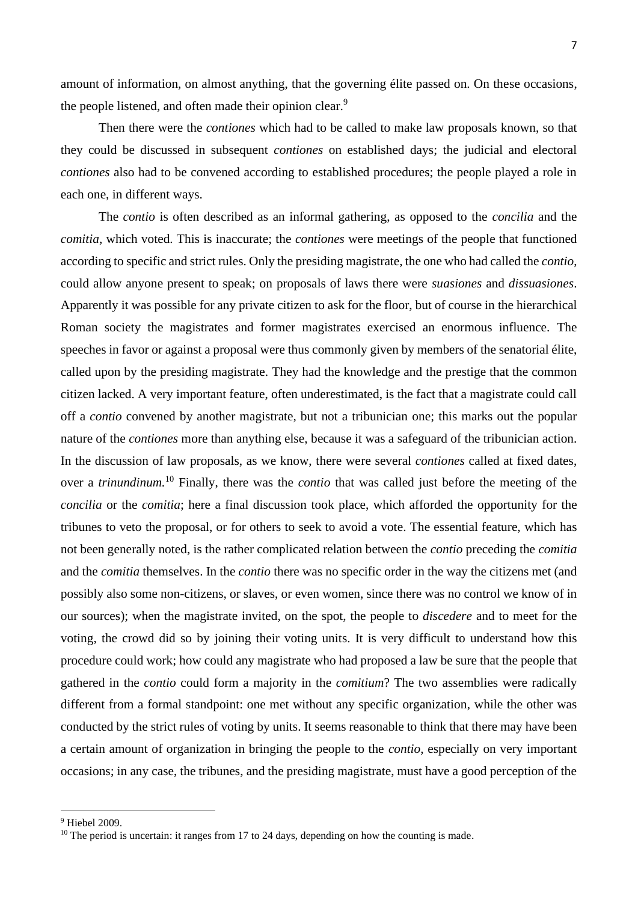amount of information, on almost anything, that the governing élite passed on. On these occasions, the people listened, and often made their opinion clear.<sup>9</sup>

Then there were the *contiones* which had to be called to make law proposals known, so that they could be discussed in subsequent *contiones* on established days; the judicial and electoral *contiones* also had to be convened according to established procedures; the people played a role in each one, in different ways.

The *contio* is often described as an informal gathering, as opposed to the *concilia* and the *comitia*, which voted. This is inaccurate; the *contiones* were meetings of the people that functioned according to specific and strict rules. Only the presiding magistrate, the one who had called the *contio*, could allow anyone present to speak; on proposals of laws there were *suasiones* and *dissuasiones*. Apparently it was possible for any private citizen to ask for the floor, but of course in the hierarchical Roman society the magistrates and former magistrates exercised an enormous influence. The speeches in favor or against a proposal were thus commonly given by members of the senatorial élite, called upon by the presiding magistrate. They had the knowledge and the prestige that the common citizen lacked. A very important feature, often underestimated, is the fact that a magistrate could call off a *contio* convened by another magistrate, but not a tribunician one; this marks out the popular nature of the *contiones* more than anything else, because it was a safeguard of the tribunician action. In the discussion of law proposals, as we know, there were several *contiones* called at fixed dates, over a *trinundinum.* <sup>10</sup> Finally, there was the *contio* that was called just before the meeting of the *concilia* or the *comitia*; here a final discussion took place, which afforded the opportunity for the tribunes to veto the proposal, or for others to seek to avoid a vote. The essential feature, which has not been generally noted, is the rather complicated relation between the *contio* preceding the *comitia* and the *comitia* themselves. In the *contio* there was no specific order in the way the citizens met (and possibly also some non-citizens, or slaves, or even women, since there was no control we know of in our sources); when the magistrate invited, on the spot, the people to *discedere* and to meet for the voting, the crowd did so by joining their voting units. It is very difficult to understand how this procedure could work; how could any magistrate who had proposed a law be sure that the people that gathered in the *contio* could form a majority in the *comitium*? The two assemblies were radically different from a formal standpoint: one met without any specific organization, while the other was conducted by the strict rules of voting by units. It seems reasonable to think that there may have been a certain amount of organization in bringing the people to the *contio*, especially on very important occasions; in any case, the tribunes, and the presiding magistrate, must have a good perception of the

<sup>9</sup> Hiebel 2009.

<sup>&</sup>lt;sup>10</sup> The period is uncertain: it ranges from 17 to 24 days, depending on how the counting is made.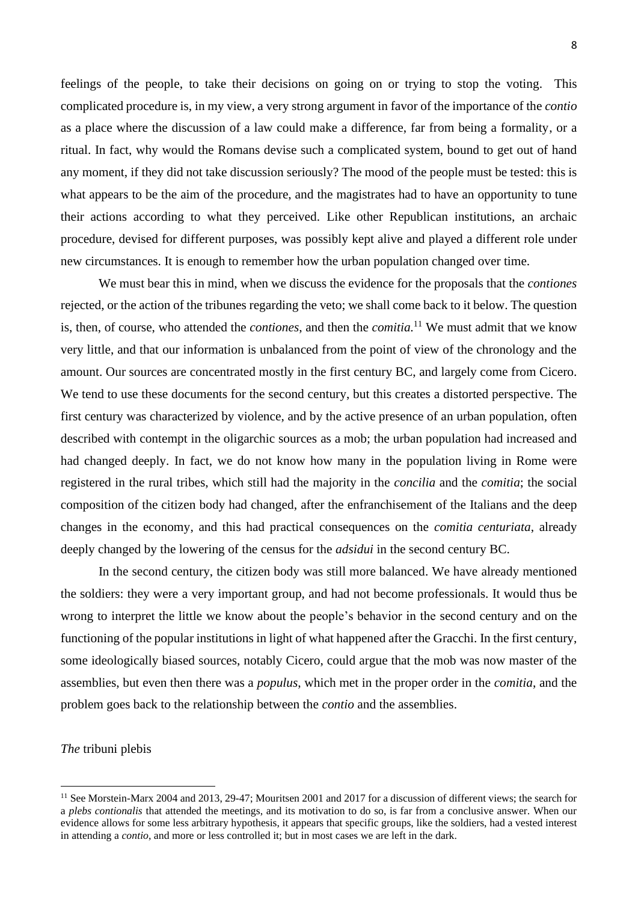feelings of the people, to take their decisions on going on or trying to stop the voting. This complicated procedure is, in my view, a very strong argument in favor of the importance of the *contio* as a place where the discussion of a law could make a difference, far from being a formality, or a ritual. In fact, why would the Romans devise such a complicated system, bound to get out of hand any moment, if they did not take discussion seriously? The mood of the people must be tested: this is what appears to be the aim of the procedure, and the magistrates had to have an opportunity to tune their actions according to what they perceived. Like other Republican institutions, an archaic procedure, devised for different purposes, was possibly kept alive and played a different role under new circumstances. It is enough to remember how the urban population changed over time.

We must bear this in mind, when we discuss the evidence for the proposals that the *contiones*  rejected, or the action of the tribunes regarding the veto; we shall come back to it below. The question is, then, of course, who attended the *contiones*, and then the *comitia.* <sup>11</sup> We must admit that we know very little, and that our information is unbalanced from the point of view of the chronology and the amount. Our sources are concentrated mostly in the first century BC, and largely come from Cicero. We tend to use these documents for the second century, but this creates a distorted perspective. The first century was characterized by violence, and by the active presence of an urban population, often described with contempt in the oligarchic sources as a mob; the urban population had increased and had changed deeply. In fact, we do not know how many in the population living in Rome were registered in the rural tribes, which still had the majority in the *concilia* and the *comitia*; the social composition of the citizen body had changed, after the enfranchisement of the Italians and the deep changes in the economy, and this had practical consequences on the *comitia centuriata*, already deeply changed by the lowering of the census for the *adsidui* in the second century BC.

In the second century, the citizen body was still more balanced. We have already mentioned the soldiers: they were a very important group, and had not become professionals. It would thus be wrong to interpret the little we know about the people's behavior in the second century and on the functioning of the popular institutions in light of what happened after the Gracchi. In the first century, some ideologically biased sources, notably Cicero, could argue that the mob was now master of the assemblies, but even then there was a *populus*, which met in the proper order in the *comitia*, and the problem goes back to the relationship between the *contio* and the assemblies.

*The* tribuni plebis

<sup>&</sup>lt;sup>11</sup> See Morstein-Marx 2004 and 2013, 29-47; Mouritsen 2001 and 2017 for a discussion of different views; the search for a *plebs contionalis* that attended the meetings, and its motivation to do so, is far from a conclusive answer. When our evidence allows for some less arbitrary hypothesis, it appears that specific groups, like the soldiers, had a vested interest in attending a *contio*, and more or less controlled it; but in most cases we are left in the dark.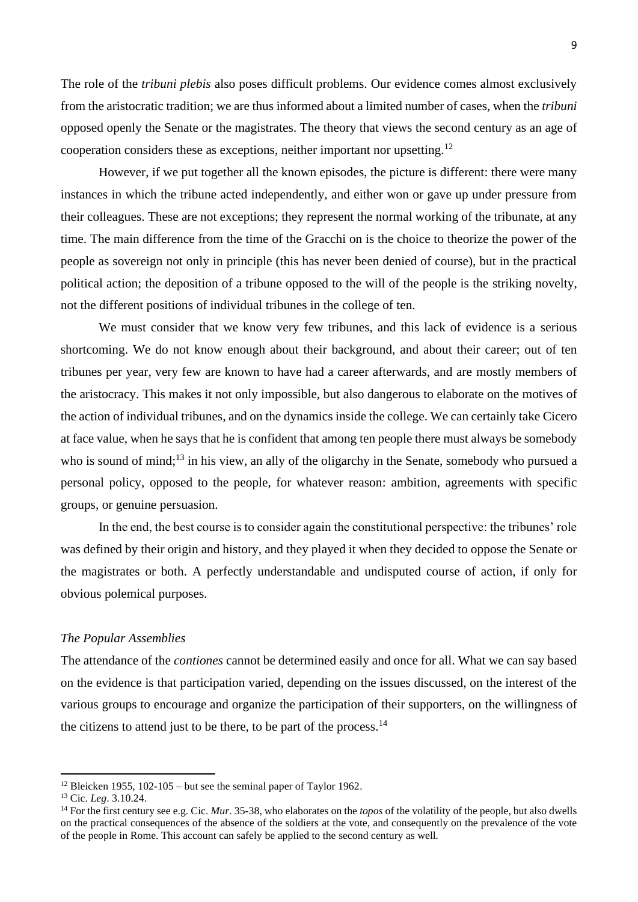The role of the *tribuni plebis* also poses difficult problems. Our evidence comes almost exclusively from the aristocratic tradition; we are thus informed about a limited number of cases, when the *tribuni*  opposed openly the Senate or the magistrates. The theory that views the second century as an age of cooperation considers these as exceptions, neither important nor upsetting.<sup>12</sup>

However, if we put together all the known episodes, the picture is different: there were many instances in which the tribune acted independently, and either won or gave up under pressure from their colleagues. These are not exceptions; they represent the normal working of the tribunate, at any time. The main difference from the time of the Gracchi on is the choice to theorize the power of the people as sovereign not only in principle (this has never been denied of course), but in the practical political action; the deposition of a tribune opposed to the will of the people is the striking novelty, not the different positions of individual tribunes in the college of ten.

We must consider that we know very few tribunes, and this lack of evidence is a serious shortcoming. We do not know enough about their background, and about their career; out of ten tribunes per year, very few are known to have had a career afterwards, and are mostly members of the aristocracy. This makes it not only impossible, but also dangerous to elaborate on the motives of the action of individual tribunes, and on the dynamics inside the college. We can certainly take Cicero at face value, when he says that he is confident that among ten people there must always be somebody who is sound of mind;<sup>13</sup> in his view, an ally of the oligarchy in the Senate, somebody who pursued a personal policy, opposed to the people, for whatever reason: ambition, agreements with specific groups, or genuine persuasion.

In the end, the best course is to consider again the constitutional perspective: the tribunes' role was defined by their origin and history, and they played it when they decided to oppose the Senate or the magistrates or both. A perfectly understandable and undisputed course of action, if only for obvious polemical purposes.

# *The Popular Assemblies*

The attendance of the *contiones* cannot be determined easily and once for all. What we can say based on the evidence is that participation varied, depending on the issues discussed, on the interest of the various groups to encourage and organize the participation of their supporters, on the willingness of the citizens to attend just to be there, to be part of the process.<sup>14</sup>

<sup>&</sup>lt;sup>12</sup> Bleicken 1955, 102-105 – but see the seminal paper of Taylor 1962.

<sup>13</sup> Cic. *Leg*. 3.10.24.

<sup>&</sup>lt;sup>14</sup> For the first century see e.g. Cic. *Mur*. 35-38, who elaborates on the *topos* of the volatility of the people, but also dwells on the practical consequences of the absence of the soldiers at the vote, and consequently on the prevalence of the vote of the people in Rome. This account can safely be applied to the second century as well*.*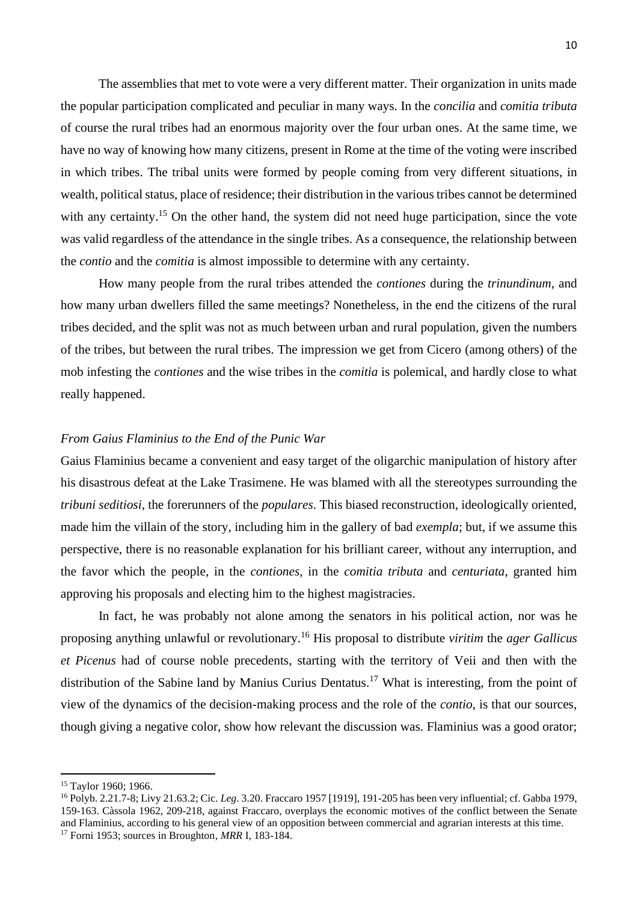The assemblies that met to vote were a very different matter. Their organization in units made the popular participation complicated and peculiar in many ways. In the *concilia* and *comitia tributa* of course the rural tribes had an enormous majority over the four urban ones. At the same time, we have no way of knowing how many citizens, present in Rome at the time of the voting were inscribed in which tribes. The tribal units were formed by people coming from very different situations, in wealth, political status, place of residence; their distribution in the various tribes cannot be determined with any certainty.<sup>15</sup> On the other hand, the system did not need huge participation, since the vote was valid regardless of the attendance in the single tribes. As a consequence, the relationship between the *contio* and the *comitia* is almost impossible to determine with any certainty.

How many people from the rural tribes attended the *contiones* during the *trinundinum*, and how many urban dwellers filled the same meetings? Nonetheless, in the end the citizens of the rural tribes decided, and the split was not as much between urban and rural population, given the numbers of the tribes, but between the rural tribes. The impression we get from Cicero (among others) of the mob infesting the *contiones* and the wise tribes in the *comitia* is polemical, and hardly close to what really happened.

# *From Gaius Flaminius to the End of the Punic War*

Gaius Flaminius became a convenient and easy target of the oligarchic manipulation of history after his disastrous defeat at the Lake Trasimene. He was blamed with all the stereotypes surrounding the *tribuni seditiosi*, the forerunners of the *populares*. This biased reconstruction, ideologically oriented, made him the villain of the story, including him in the gallery of bad *exempla*; but, if we assume this perspective, there is no reasonable explanation for his brilliant career, without any interruption, and the favor which the people, in the *contiones*, in the *comitia tributa* and *centuriata*, granted him approving his proposals and electing him to the highest magistracies.

In fact, he was probably not alone among the senators in his political action, nor was he proposing anything unlawful or revolutionary. <sup>16</sup> His proposal to distribute *viritim* the *ager Gallicus et Picenus* had of course noble precedents, starting with the territory of Veii and then with the distribution of the Sabine land by Manius Curius Dentatus.<sup>17</sup> What is interesting, from the point of view of the dynamics of the decision-making process and the role of the *contio*, is that our sources, though giving a negative color, show how relevant the discussion was. Flaminius was a good orator;

<sup>15</sup> Taylor 1960; 1966.

<sup>16</sup> Polyb. 2.21.7-8; Livy 21.63.2; Cic. *Leg*. 3.20. Fraccaro 1957 [1919], 191-205 has been very influential; cf. Gabba 1979, 159-163. Càssola 1962, 209-218, against Fraccaro, overplays the economic motives of the conflict between the Senate and Flaminius, according to his general view of an opposition between commercial and agrarian interests at this time. <sup>17</sup> Forni 1953; sources in Broughton, *MRR* I, 183-184.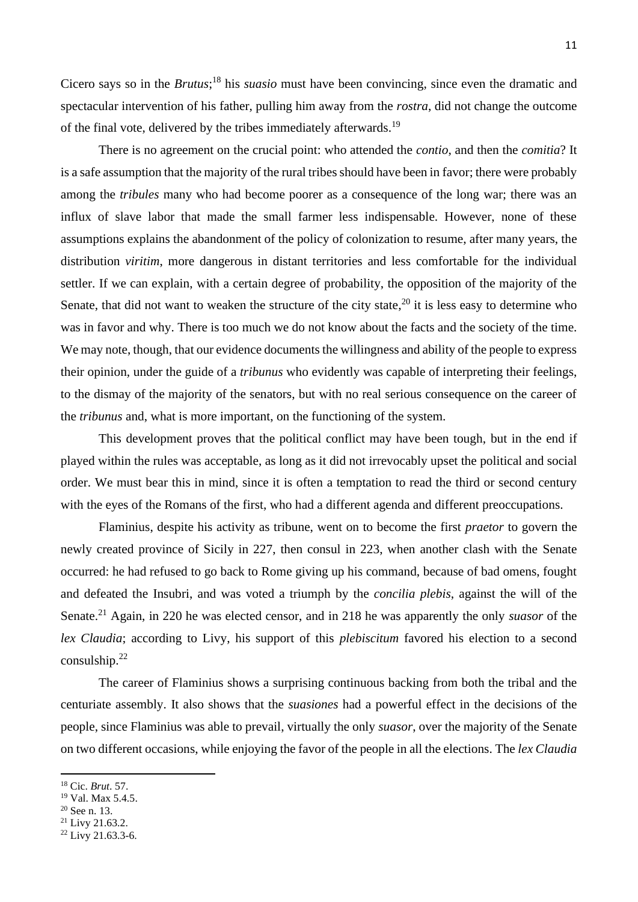Cicero says so in the *Brutus*; <sup>18</sup> his *suasio* must have been convincing, since even the dramatic and spectacular intervention of his father, pulling him away from the *rostra*, did not change the outcome of the final vote, delivered by the tribes immediately afterwards.<sup>19</sup>

There is no agreement on the crucial point: who attended the *contio*, and then the *comitia*? It is a safe assumption that the majority of the rural tribes should have been in favor; there were probably among the *tribules* many who had become poorer as a consequence of the long war; there was an influx of slave labor that made the small farmer less indispensable. However, none of these assumptions explains the abandonment of the policy of colonization to resume, after many years, the distribution *viritim*, more dangerous in distant territories and less comfortable for the individual settler. If we can explain, with a certain degree of probability, the opposition of the majority of the Senate, that did not want to weaken the structure of the city state, $20$  it is less easy to determine who was in favor and why. There is too much we do not know about the facts and the society of the time. We may note, though, that our evidence documents the willingness and ability of the people to express their opinion, under the guide of a *tribunus* who evidently was capable of interpreting their feelings, to the dismay of the majority of the senators, but with no real serious consequence on the career of the *tribunus* and, what is more important, on the functioning of the system.

This development proves that the political conflict may have been tough, but in the end if played within the rules was acceptable, as long as it did not irrevocably upset the political and social order. We must bear this in mind, since it is often a temptation to read the third or second century with the eyes of the Romans of the first, who had a different agenda and different preoccupations.

Flaminius, despite his activity as tribune, went on to become the first *praetor* to govern the newly created province of Sicily in 227, then consul in 223, when another clash with the Senate occurred: he had refused to go back to Rome giving up his command, because of bad omens, fought and defeated the Insubri, and was voted a triumph by the *concilia plebis*, against the will of the Senate. <sup>21</sup> Again, in 220 he was elected censor, and in 218 he was apparently the only *suasor* of the *lex Claudia*; according to Livy, his support of this *plebiscitum* favored his election to a second consulship. $^{22}$ 

The career of Flaminius shows a surprising continuous backing from both the tribal and the centuriate assembly. It also shows that the *suasiones* had a powerful effect in the decisions of the people, since Flaminius was able to prevail, virtually the only *suasor*, over the majority of the Senate on two different occasions, while enjoying the favor of the people in all the elections. The *lex Claudia*

<sup>21</sup> Livy 21.63.2.

<sup>18</sup> Cic. *Brut*. 57.

<sup>19</sup> Val. Max 5.4.5.

<sup>20</sup> See n. 13.

 $22$  Livy 21.63.3-6.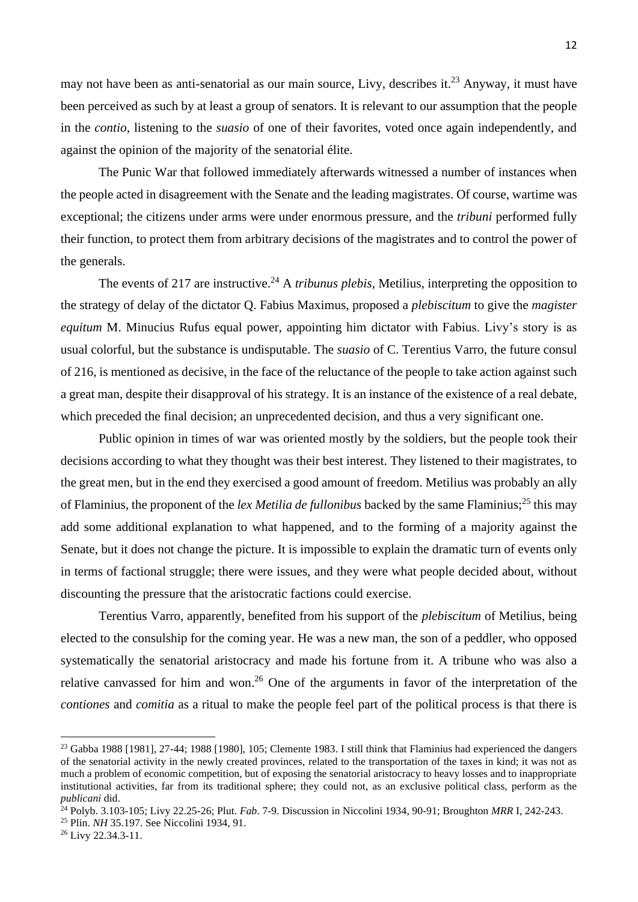may not have been as anti-senatorial as our main source, Livy, describes it.<sup>23</sup> Anyway, it must have been perceived as such by at least a group of senators. It is relevant to our assumption that the people in the *contio*, listening to the *suasio* of one of their favorites, voted once again independently, and against the opinion of the majority of the senatorial élite.

The Punic War that followed immediately afterwards witnessed a number of instances when the people acted in disagreement with the Senate and the leading magistrates. Of course, wartime was exceptional; the citizens under arms were under enormous pressure, and the *tribuni* performed fully their function, to protect them from arbitrary decisions of the magistrates and to control the power of the generals.

The events of 217 are instructive. <sup>24</sup> A *tribunus plebis*, Metilius, interpreting the opposition to the strategy of delay of the dictator Q. Fabius Maximus, proposed a *plebiscitum* to give the *magister equitum* M. Minucius Rufus equal power, appointing him dictator with Fabius. Livy's story is as usual colorful, but the substance is undisputable. The *suasio* of C. Terentius Varro, the future consul of 216, is mentioned as decisive, in the face of the reluctance of the people to take action against such a great man, despite their disapproval of his strategy. It is an instance of the existence of a real debate, which preceded the final decision; an unprecedented decision, and thus a very significant one.

Public opinion in times of war was oriented mostly by the soldiers, but the people took their decisions according to what they thought was their best interest. They listened to their magistrates, to the great men, but in the end they exercised a good amount of freedom. Metilius was probably an ally of Flaminius, the proponent of the *lex Metilia de fullonibus* backed by the same Flaminius;<sup>25</sup> this may add some additional explanation to what happened, and to the forming of a majority against the Senate, but it does not change the picture. It is impossible to explain the dramatic turn of events only in terms of factional struggle; there were issues, and they were what people decided about, without discounting the pressure that the aristocratic factions could exercise.

Terentius Varro, apparently, benefited from his support of the *plebiscitum* of Metilius, being elected to the consulship for the coming year. He was a new man, the son of a peddler, who opposed systematically the senatorial aristocracy and made his fortune from it. A tribune who was also a relative canvassed for him and won.<sup>26</sup> One of the arguments in favor of the interpretation of the *contiones* and *comitia* as a ritual to make the people feel part of the political process is that there is

 $^{23}$  Gabba 1988 [1981], 27-44; 1988 [1980], 105; Clemente 1983. I still think that Flaminius had experienced the dangers of the senatorial activity in the newly created provinces, related to the transportation of the taxes in kind; it was not as much a problem of economic competition, but of exposing the senatorial aristocracy to heavy losses and to inappropriate institutional activities, far from its traditional sphere; they could not, as an exclusive political class, perform as the *publicani* did.

<sup>24</sup> Polyb. 3.103-105; Livy 22.25-26; Plut. *Fab*. 7-9. Discussion in Niccolini 1934, 90-91; Broughton *MRR* I, 242-243.

<sup>25</sup> Plin. *NH* 35.197. See Niccolini 1934, 91.

<sup>26</sup> Livy 22.34.3-11.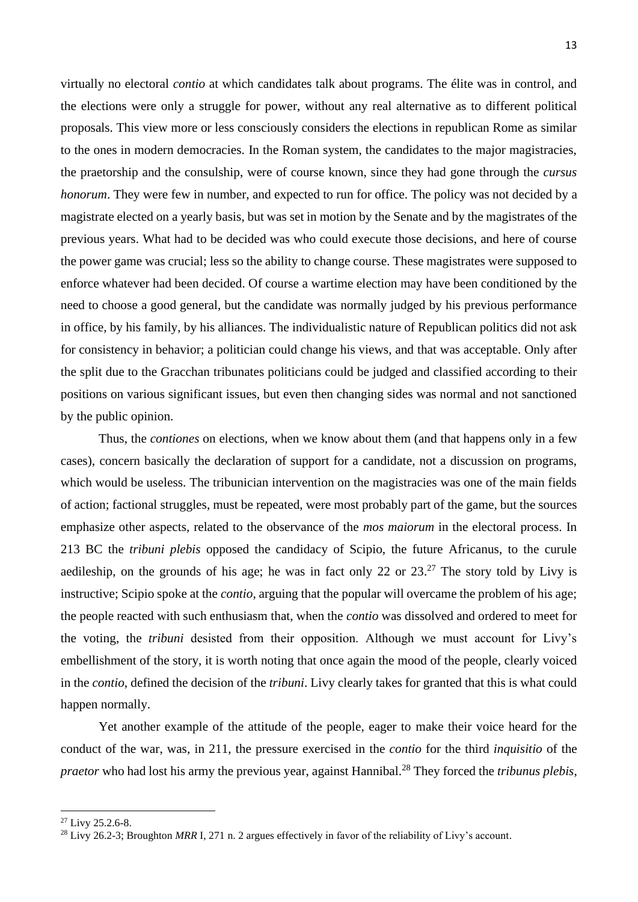virtually no electoral *contio* at which candidates talk about programs. The élite was in control, and the elections were only a struggle for power, without any real alternative as to different political proposals. This view more or less consciously considers the elections in republican Rome as similar to the ones in modern democracies. In the Roman system, the candidates to the major magistracies, the praetorship and the consulship, were of course known, since they had gone through the *cursus honorum*. They were few in number, and expected to run for office. The policy was not decided by a magistrate elected on a yearly basis, but was set in motion by the Senate and by the magistrates of the previous years. What had to be decided was who could execute those decisions, and here of course the power game was crucial; less so the ability to change course. These magistrates were supposed to enforce whatever had been decided. Of course a wartime election may have been conditioned by the need to choose a good general, but the candidate was normally judged by his previous performance in office, by his family, by his alliances. The individualistic nature of Republican politics did not ask for consistency in behavior; a politician could change his views, and that was acceptable. Only after the split due to the Gracchan tribunates politicians could be judged and classified according to their positions on various significant issues, but even then changing sides was normal and not sanctioned by the public opinion.

Thus, the *contiones* on elections, when we know about them (and that happens only in a few cases), concern basically the declaration of support for a candidate, not a discussion on programs, which would be useless. The tribunician intervention on the magistracies was one of the main fields of action; factional struggles, must be repeated, were most probably part of the game, but the sources emphasize other aspects, related to the observance of the *mos maiorum* in the electoral process. In 213 BC the *tribuni plebis* opposed the candidacy of Scipio, the future Africanus, to the curule aedileship, on the grounds of his age; he was in fact only 22 or  $23.^{27}$  The story told by Livy is instructive; Scipio spoke at the *contio*, arguing that the popular will overcame the problem of his age; the people reacted with such enthusiasm that, when the *contio* was dissolved and ordered to meet for the voting, the *tribuni* desisted from their opposition. Although we must account for Livy's embellishment of the story, it is worth noting that once again the mood of the people, clearly voiced in the *contio*, defined the decision of the *tribuni*. Livy clearly takes for granted that this is what could happen normally.

Yet another example of the attitude of the people, eager to make their voice heard for the conduct of the war, was, in 211, the pressure exercised in the *contio* for the third *inquisitio* of the *praetor* who had lost his army the previous year, against Hannibal. <sup>28</sup> They forced the *tribunus plebis*,

 $27$  Livy 25.2.6-8.

<sup>&</sup>lt;sup>28</sup> Livy 26.2-3; Broughton *MRR* I, 271 n. 2 argues effectively in favor of the reliability of Livy's account.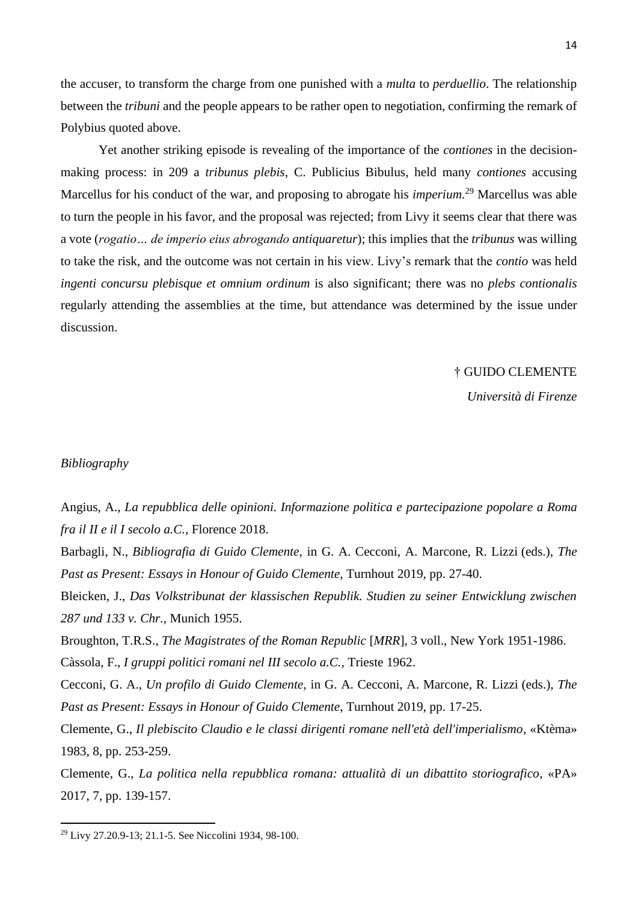the accuser, to transform the charge from one punished with a *multa* to *perduellio*. The relationship between the *tribuni* and the people appears to be rather open to negotiation, confirming the remark of Polybius quoted above.

Yet another striking episode is revealing of the importance of the *contiones* in the decisionmaking process: in 209 a *tribunus plebis*, C. Publicius Bibulus, held many *contiones* accusing Marcellus for his conduct of the war, and proposing to abrogate his *imperium.* <sup>29</sup> Marcellus was able to turn the people in his favor, and the proposal was rejected; from Livy it seems clear that there was a vote (*rogatio… de imperio eius abrogando antiquaretur*); this implies that the *tribunus* was willing to take the risk, and the outcome was not certain in his view. Livy's remark that the *contio* was held *ingenti concursu plebisque et omnium ordinum* is also significant; there was no *plebs contionalis* regularly attending the assemblies at the time, but attendance was determined by the issue under discussion.

† GUIDO CLEMENTE

*Università di Firenze*

## *Bibliography*

Angius, A., *La repubblica delle opinioni. Informazione politica e partecipazione popolare a Roma fra il II e il I secolo a.C.,* Florence 2018.

Barbagli, N., *Bibliografia di Guido Clemente,* in G. A. Cecconi, A. Marcone, R. Lizzi (eds.), *The Past as Present: Essays in Honour of Guido Clemente*, Turnhout 2019, pp. 27-40.

Bleicken, J., *Das Volkstribunat der klassischen Republik. Studien zu seiner Entwicklung zwischen 287 und 133 v. Chr.*, Munich 1955.

Broughton, T.R.S., *The Magistrates of the Roman Republic* [*MRR*]*,* 3 voll., New York 1951-1986.

Càssola, F., *I gruppi politici romani nel III secolo a.C.,* Trieste 1962.

Cecconi, G. A., *Un profilo di Guido Clemente,* in G. A. Cecconi, A. Marcone, R. Lizzi (eds.), *The Past as Present: Essays in Honour of Guido Clemente*, Turnhout 2019, pp. 17-25.

Clemente, G., *Il plebiscito Claudio e le classi dirigenti romane nell'età dell'imperialismo*, «Ktèma» 1983, 8, pp. 253-259.

Clemente, G., *La politica nella repubblica romana: attualità di un dibattito storiografico*, «PA» 2017, 7, pp. 139-157.

<sup>29</sup> Livy 27.20.9-13; 21.1-5. See Niccolini 1934, 98-100.